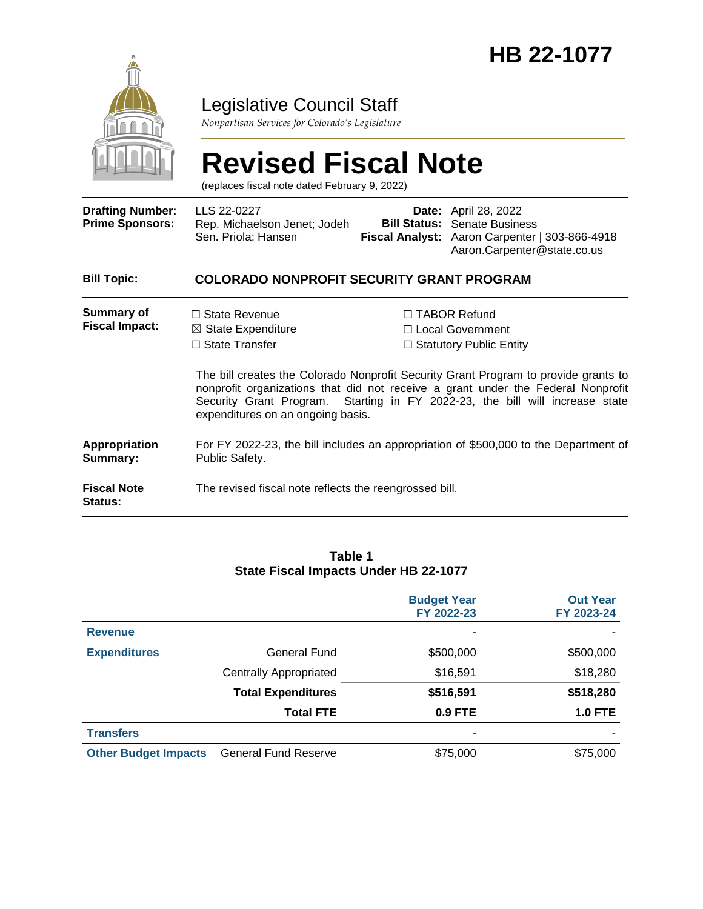

Legislative Council Staff

*Nonpartisan Services for Colorado's Legislature*

# **Revised Fiscal Note**

(replaces fiscal note dated February 9, 2022)

| <b>Drafting Number:</b><br><b>Prime Sponsors:</b> | LLS 22-0227<br>Rep. Michaelson Jenet; Jodeh<br>Sen. Priola; Hansen                                                  |  | <b>Date:</b> April 28, 2022<br><b>Bill Status:</b> Senate Business<br>Fiscal Analyst: Aaron Carpenter   303-866-4918<br>Aaron.Carpenter@state.co.us                                                                                                                                                                                         |  |  |  |
|---------------------------------------------------|---------------------------------------------------------------------------------------------------------------------|--|---------------------------------------------------------------------------------------------------------------------------------------------------------------------------------------------------------------------------------------------------------------------------------------------------------------------------------------------|--|--|--|
| <b>Bill Topic:</b>                                | <b>COLORADO NONPROFIT SECURITY GRANT PROGRAM</b>                                                                    |  |                                                                                                                                                                                                                                                                                                                                             |  |  |  |
| Summary of<br><b>Fiscal Impact:</b>               | $\Box$ State Revenue<br>$\boxtimes$ State Expenditure<br>$\Box$ State Transfer<br>expenditures on an ongoing basis. |  | $\Box$ TABOR Refund<br>$\Box$ Local Government<br>$\Box$ Statutory Public Entity<br>The bill creates the Colorado Nonprofit Security Grant Program to provide grants to<br>nonprofit organizations that did not receive a grant under the Federal Nonprofit<br>Security Grant Program. Starting in FY 2022-23, the bill will increase state |  |  |  |
| Appropriation<br>Summary:                         | For FY 2022-23, the bill includes an appropriation of \$500,000 to the Department of<br>Public Safety.              |  |                                                                                                                                                                                                                                                                                                                                             |  |  |  |
| <b>Fiscal Note</b><br>Status:                     | The revised fiscal note reflects the reengrossed bill.                                                              |  |                                                                                                                                                                                                                                                                                                                                             |  |  |  |

#### **Table 1 State Fiscal Impacts Under HB 22-1077**

|                             |                               | <b>Budget Year</b><br>FY 2022-23 | <b>Out Year</b><br>FY 2023-24 |
|-----------------------------|-------------------------------|----------------------------------|-------------------------------|
| <b>Revenue</b>              |                               | $\overline{\phantom{a}}$         |                               |
| <b>Expenditures</b>         | General Fund                  | \$500,000                        | \$500,000                     |
|                             | <b>Centrally Appropriated</b> | \$16,591                         | \$18,280                      |
|                             | <b>Total Expenditures</b>     | \$516,591                        | \$518,280                     |
|                             | <b>Total FTE</b>              | 0.9 FTE                          | <b>1.0 FTE</b>                |
| <b>Transfers</b>            |                               | $\overline{\phantom{a}}$         |                               |
| <b>Other Budget Impacts</b> | <b>General Fund Reserve</b>   | \$75,000                         | \$75,000                      |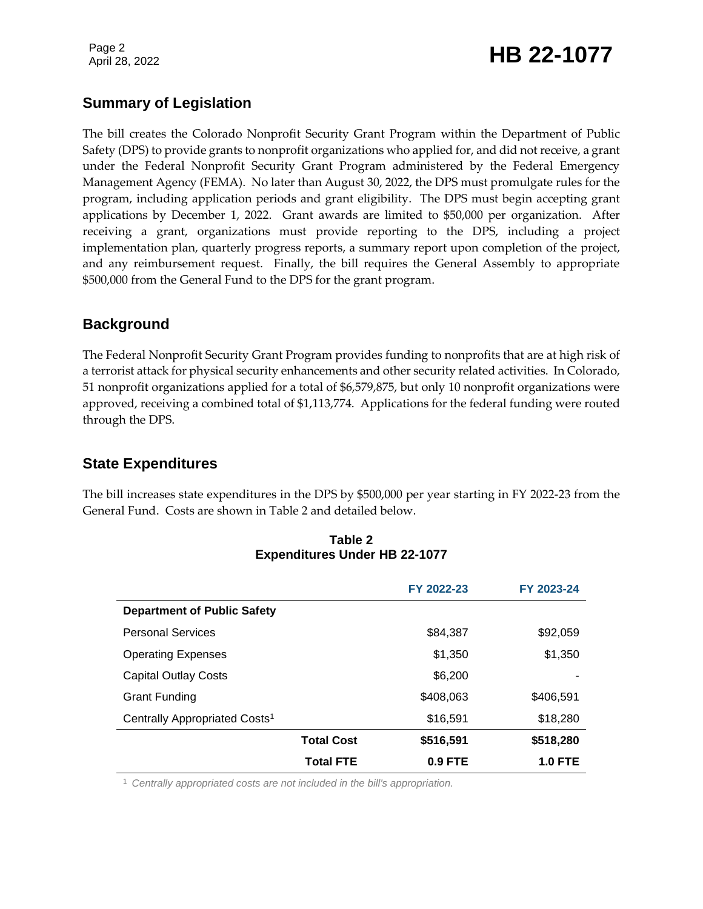# Page 2<br>April 28, 2022 **HB 22-1077**

# **Summary of Legislation**

The bill creates the Colorado Nonprofit Security Grant Program within the Department of Public Safety (DPS) to provide grants to nonprofit organizations who applied for, and did not receive, a grant under the Federal Nonprofit Security Grant Program administered by the Federal Emergency Management Agency (FEMA). No later than August 30, 2022, the DPS must promulgate rules for the program, including application periods and grant eligibility. The DPS must begin accepting grant applications by December 1, 2022. Grant awards are limited to \$50,000 per organization. After receiving a grant, organizations must provide reporting to the DPS, including a project implementation plan, quarterly progress reports, a summary report upon completion of the project, and any reimbursement request. Finally, the bill requires the General Assembly to appropriate \$500,000 from the General Fund to the DPS for the grant program.

## **Background**

The Federal Nonprofit Security Grant Program provides funding to nonprofits that are at high risk of a terrorist attack for physical security enhancements and other security related activities. In Colorado, 51 nonprofit organizations applied for a total of \$6,579,875, but only 10 nonprofit organizations were approved, receiving a combined total of \$1,113,774. Applications for the federal funding were routed through the DPS.

# **State Expenditures**

The bill increases state expenditures in the DPS by \$500,000 per year starting in FY 2022-23 from the General Fund. Costs are shown in Table 2 and detailed below.

|                                           |                   | FY 2022-23 | FY 2023-24     |
|-------------------------------------------|-------------------|------------|----------------|
| <b>Department of Public Safety</b>        |                   |            |                |
| <b>Personal Services</b>                  |                   | \$84.387   | \$92,059       |
| <b>Operating Expenses</b>                 |                   | \$1,350    | \$1,350        |
| <b>Capital Outlay Costs</b>               |                   | \$6,200    |                |
| Grant Funding                             |                   | \$408,063  | \$406.591      |
| Centrally Appropriated Costs <sup>1</sup> |                   | \$16,591   | \$18,280       |
|                                           | <b>Total Cost</b> | \$516,591  | \$518,280      |
|                                           | <b>Total FTE</b>  | $0.9$ FTE  | <b>1.0 FTE</b> |

#### **Table 2 Expenditures Under HB 22-1077**

<sup>1</sup> *Centrally appropriated costs are not included in the bill's appropriation.*